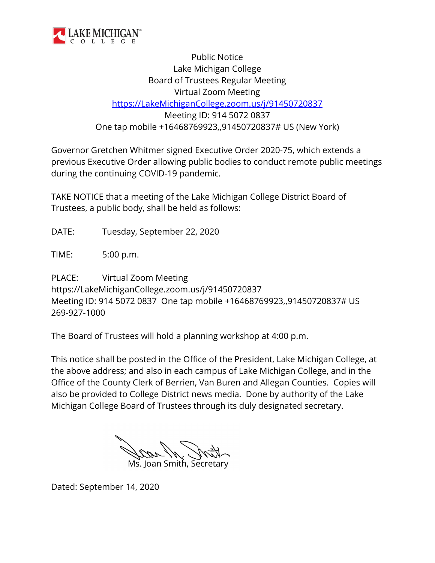

Public Notice Lake Michigan College Board of Trustees Regular Meeting Virtual Zoom Meeting [https://LakeMichiganCollege.zoom.us/j/91450720837](https://lakemichigancollege.zoom.us/j/91450720837) Meeting ID: 914 5072 0837 One tap mobile +16468769923,,91450720837# US (New York)

Governor Gretchen Whitmer signed Executive Order 2020-75, which extends a previous Executive Order allowing public bodies to conduct remote public meetings during the continuing COVID-19 pandemic.

TAKE NOTICE that a meeting of the Lake Michigan College District Board of Trustees, a public body, shall be held as follows:

DATE: Tuesday, September 22, 2020

TIME: 5:00 p.m.

PLACE: Virtual Zoom Meeting https://LakeMichiganCollege.zoom.us/j/91450720837 Meeting ID: 914 5072 0837 One tap mobile +16468769923,,91450720837# US 269-927-1000

The Board of Trustees will hold a planning workshop at 4:00 p.m.

This notice shall be posted in the Office of the President, Lake Michigan College, at the above address; and also in each campus of Lake Michigan College, and in the Office of the County Clerk of Berrien, Van Buren and Allegan Counties. Copies will also be provided to College District news media. Done by authority of the Lake Michigan College Board of Trustees through its duly designated secretary.

Ms. Joan Smith, Secretary

Dated: September 14, 2020